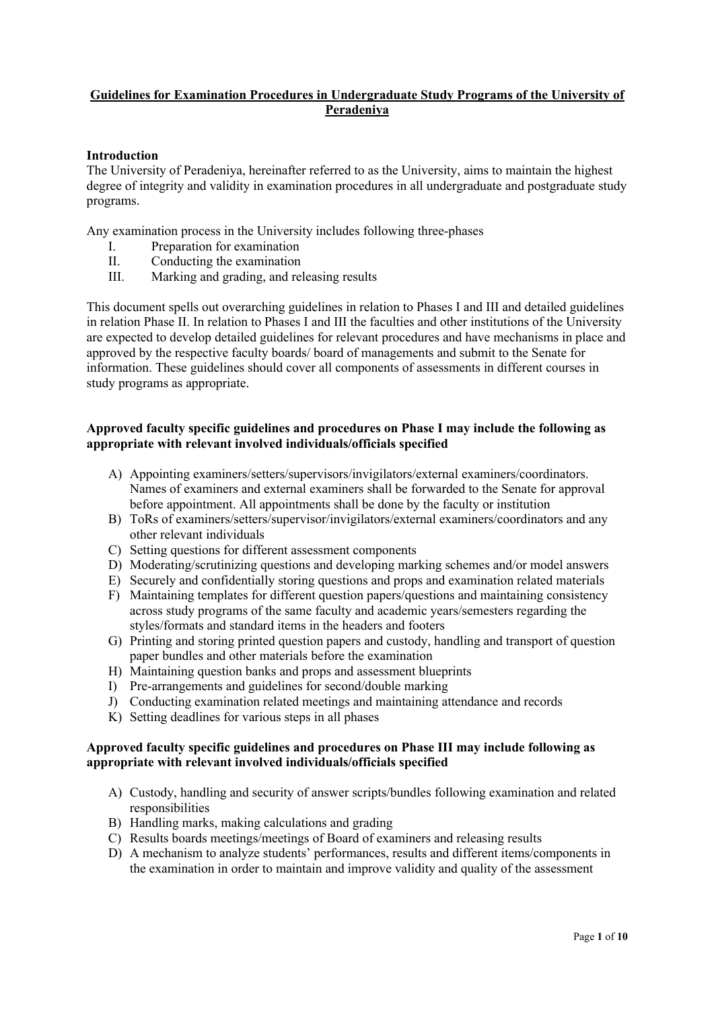## **Guidelines for Examination Procedures in Undergraduate Study Programs of the University of Peradeniya**

## **Introduction**

The University of Peradeniya, hereinafter referred to as the University, aims to maintain the highest degree of integrity and validity in examination procedures in all undergraduate and postgraduate study programs.

Any examination process in the University includes following three-phases

- I. Preparation for examination
- II. Conducting the examination
- III. Marking and grading, and releasing results

This document spells out overarching guidelines in relation to Phases I and III and detailed guidelines in relation Phase II. In relation to Phases I and III the faculties and other institutions of the University are expected to develop detailed guidelines for relevant procedures and have mechanisms in place and approved by the respective faculty boards/ board of managements and submit to the Senate for information. These guidelines should cover all components of assessments in different courses in study programs as appropriate.

## **Approved faculty specific guidelines and procedures on Phase I may include the following as appropriate with relevant involved individuals/officials specified**

- A) Appointing examiners/setters/supervisors/invigilators/external examiners/coordinators. Names of examiners and external examiners shall be forwarded to the Senate for approval before appointment. All appointments shall be done by the faculty or institution
- B) ToRs of examiners/setters/supervisor/invigilators/external examiners/coordinators and any other relevant individuals
- C) Setting questions for different assessment components
- D) Moderating/scrutinizing questions and developing marking schemes and/or model answers
- E) Securely and confidentially storing questions and props and examination related materials
- F) Maintaining templates for different question papers/questions and maintaining consistency across study programs of the same faculty and academic years/semesters regarding the styles/formats and standard items in the headers and footers
- G) Printing and storing printed question papers and custody, handling and transport of question paper bundles and other materials before the examination
- H) Maintaining question banks and props and assessment blueprints
- I) Pre-arrangements and guidelines for second/double marking
- J) Conducting examination related meetings and maintaining attendance and records
- K) Setting deadlines for various steps in all phases

#### **Approved faculty specific guidelines and procedures on Phase III may include following as appropriate with relevant involved individuals/officials specified**

- A) Custody, handling and security of answer scripts/bundles following examination and related responsibilities
- B) Handling marks, making calculations and grading
- C) Results boards meetings/meetings of Board of examiners and releasing results
- D) A mechanism to analyze students' performances, results and different items/components in the examination in order to maintain and improve validity and quality of the assessment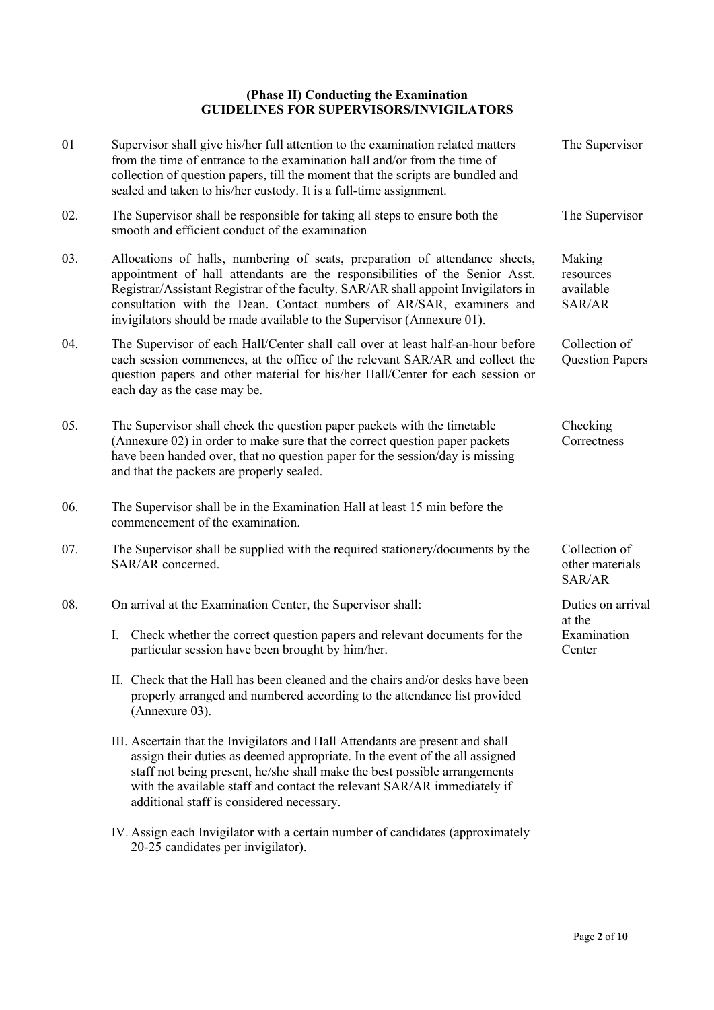## **(Phase II) Conducting the Examination GUIDELINES FOR SUPERVISORS/INVIGILATORS**

| 01  | Supervisor shall give his/her full attention to the examination related matters<br>from the time of entrance to the examination hall and/or from the time of<br>collection of question papers, till the moment that the scripts are bundled and<br>sealed and taken to his/her custody. It is a full-time assignment.                                                                              | The Supervisor                             |
|-----|----------------------------------------------------------------------------------------------------------------------------------------------------------------------------------------------------------------------------------------------------------------------------------------------------------------------------------------------------------------------------------------------------|--------------------------------------------|
| 02. | The Supervisor shall be responsible for taking all steps to ensure both the<br>smooth and efficient conduct of the examination                                                                                                                                                                                                                                                                     | The Supervisor                             |
| 03. | Allocations of halls, numbering of seats, preparation of attendance sheets,<br>appointment of hall attendants are the responsibilities of the Senior Asst.<br>Registrar/Assistant Registrar of the faculty. SAR/AR shall appoint Invigilators in<br>consultation with the Dean. Contact numbers of AR/SAR, examiners and<br>invigilators should be made available to the Supervisor (Annexure 01). | Making<br>resources<br>available<br>SAR/AR |
| 04. | The Supervisor of each Hall/Center shall call over at least half-an-hour before<br>each session commences, at the office of the relevant SAR/AR and collect the<br>question papers and other material for his/her Hall/Center for each session or<br>each day as the case may be.                                                                                                                  | Collection of<br><b>Question Papers</b>    |
| 05. | The Supervisor shall check the question paper packets with the timetable<br>(Annexure 02) in order to make sure that the correct question paper packets<br>have been handed over, that no question paper for the session/day is missing<br>and that the packets are properly sealed.                                                                                                               | Checking<br>Correctness                    |
| 06. | The Supervisor shall be in the Examination Hall at least 15 min before the<br>commencement of the examination.                                                                                                                                                                                                                                                                                     |                                            |
| 07. | The Supervisor shall be supplied with the required stationery/documents by the<br>SAR/AR concerned.                                                                                                                                                                                                                                                                                                | Collection of<br>other materials<br>SAR/AR |
| 08. | On arrival at the Examination Center, the Supervisor shall:                                                                                                                                                                                                                                                                                                                                        | Duties on arrival                          |
|     | I. Check whether the correct question papers and relevant documents for the<br>particular session have been brought by him/her.                                                                                                                                                                                                                                                                    | at the<br>Examination<br>Center            |
|     | II. Check that the Hall has been cleaned and the chairs and/or desks have been<br>properly arranged and numbered according to the attendance list provided<br>(Annexure 03).                                                                                                                                                                                                                       |                                            |
|     | III. Ascertain that the Invigilators and Hall Attendants are present and shall<br>assign their duties as deemed appropriate. In the event of the all assigned<br>staff not being present, he/she shall make the best possible arrangements<br>with the available staff and contact the relevant SAR/AR immediately if<br>additional staff is considered necessary.                                 |                                            |
|     | IV. Assign each Invigilator with a certain number of candidates (approximately                                                                                                                                                                                                                                                                                                                     |                                            |

20-25 candidates per invigilator).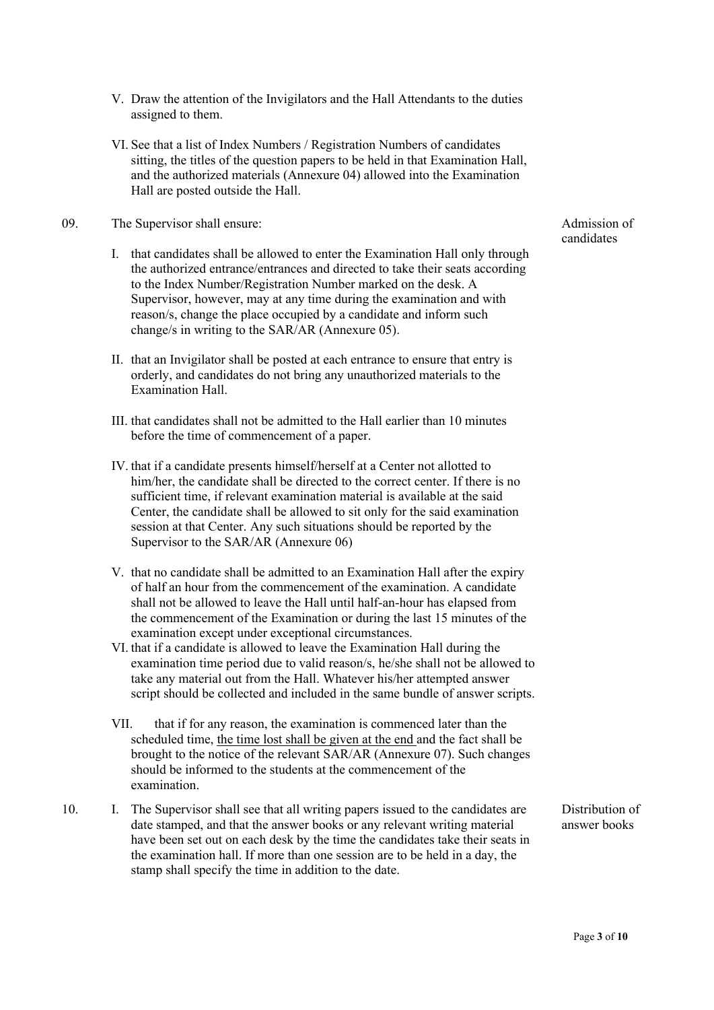- V. Draw the attention of the Invigilators and the Hall Attendants to the duties assigned to them.
- VI. See that a list of Index Numbers / Registration Numbers of candidates sitting, the titles of the question papers to be held in that Examination Hall, and the authorized materials (Annexure 04) allowed into the Examination Hall are posted outside the Hall.
- 09. The Supervisor shall ensure:
	- I. that candidates shall be allowed to enter the Examination Hall only through the authorized entrance/entrances and directed to take their seats according to the Index Number/Registration Number marked on the desk. A Supervisor, however, may at any time during the examination and with reason/s, change the place occupied by a candidate and inform such change/s in writing to the SAR/AR (Annexure 05).
	- II. that an Invigilator shall be posted at each entrance to ensure that entry is orderly, and candidates do not bring any unauthorized materials to the Examination Hall.
	- III. that candidates shall not be admitted to the Hall earlier than 10 minutes before the time of commencement of a paper.
	- IV. that if a candidate presents himself/herself at a Center not allotted to him/her, the candidate shall be directed to the correct center. If there is no sufficient time, if relevant examination material is available at the said Center, the candidate shall be allowed to sit only for the said examination session at that Center. Any such situations should be reported by the Supervisor to the SAR/AR (Annexure 06)
	- V. that no candidate shall be admitted to an Examination Hall after the expiry of half an hour from the commencement of the examination. A candidate shall not be allowed to leave the Hall until half-an-hour has elapsed from the commencement of the Examination or during the last 15 minutes of the examination except under exceptional circumstances.
	- VI. that if a candidate is allowed to leave the Examination Hall during the examination time period due to valid reason/s, he/she shall not be allowed to take any material out from the Hall. Whatever his/her attempted answer script should be collected and included in the same bundle of answer scripts.
	- VII. that if for any reason, the examination is commenced later than the scheduled time, the time lost shall be given at the end and the fact shall be brought to the notice of the relevant SAR/AR (Annexure 07). Such changes should be informed to the students at the commencement of the examination.
- 10. I. The Supervisor shall see that all writing papers issued to the candidates are date stamped, and that the answer books or any relevant writing material have been set out on each desk by the time the candidates take their seats in the examination hall. If more than one session are to be held in a day, the stamp shall specify the time in addition to the date.

Admission of candidates

Distribution of answer books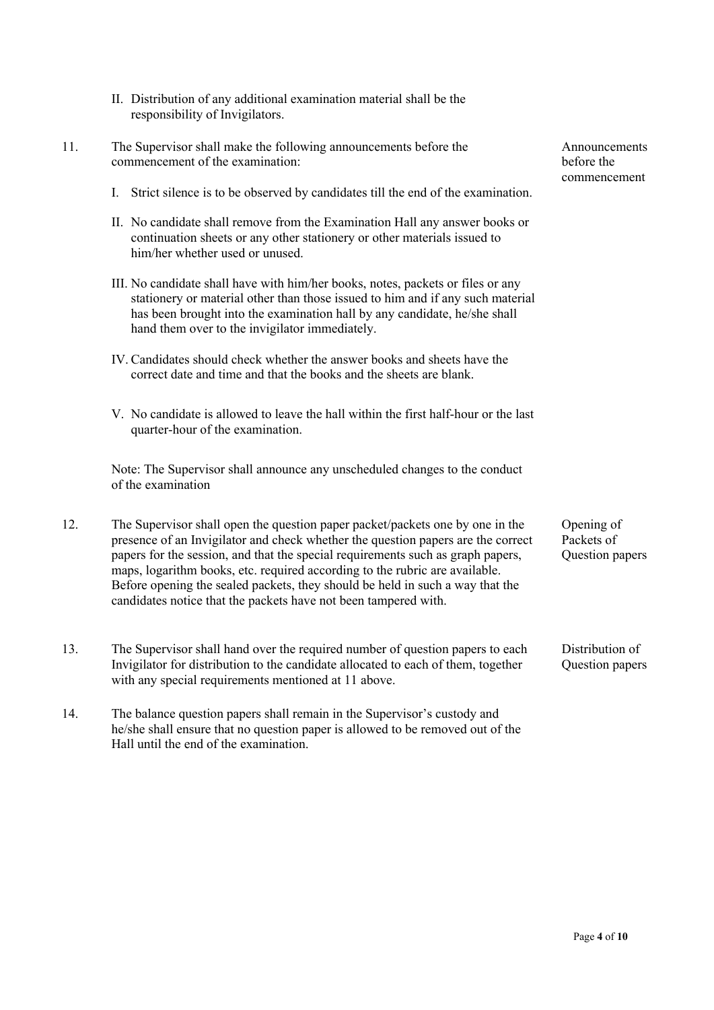- II. Distribution of any additional examination material shall be the responsibility of Invigilators.
- 11. The Supervisor shall make the following announcements before the commencement of the examination:
	- I. Strict silence is to be observed by candidates till the end of the examination.
	- II. No candidate shall remove from the Examination Hall any answer books or continuation sheets or any other stationery or other materials issued to him/her whether used or unused.
	- III. No candidate shall have with him/her books, notes, packets or files or any stationery or material other than those issued to him and if any such material has been brought into the examination hall by any candidate, he/she shall hand them over to the invigilator immediately.
	- IV. Candidates should check whether the answer books and sheets have the correct date and time and that the books and the sheets are blank.
	- V. No candidate is allowed to leave the hall within the first half-hour or the last quarter-hour of the examination.

Note: The Supervisor shall announce any unscheduled changes to the conduct of the examination

- 12. The Supervisor shall open the question paper packet/packets one by one in the presence of an Invigilator and check whether the question papers are the correct papers for the session, and that the special requirements such as graph papers, maps, logarithm books, etc. required according to the rubric are available. Before opening the sealed packets, they should be held in such a way that the candidates notice that the packets have not been tampered with.
- 13. The Supervisor shall hand over the required number of question papers to each Invigilator for distribution to the candidate allocated to each of them, together with any special requirements mentioned at 11 above.
- 14. The balance question papers shall remain in the Supervisor's custody and he/she shall ensure that no question paper is allowed to be removed out of the Hall until the end of the examination.

Announcements before the commencement

Opening of Packets of Question papers

Distribution of Question papers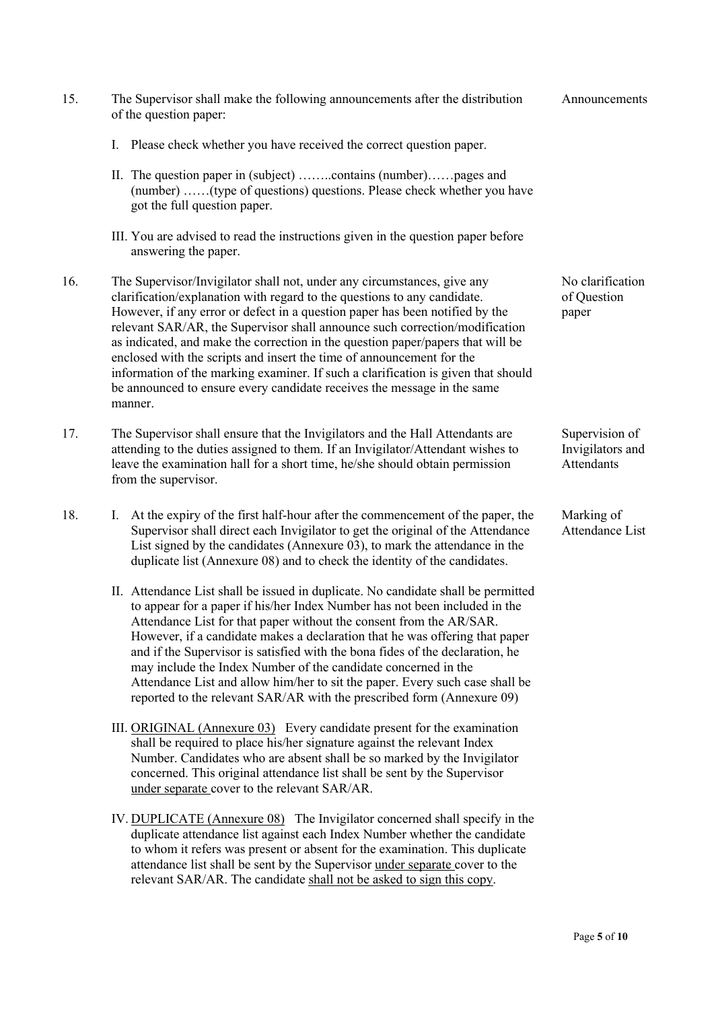| 15. | The Supervisor shall make the following announcements after the distribution<br>of the question paper:                                                                                                                                                                                                                                                                                                                                                                                                                                                                                                                                                    | Announcements                                    |
|-----|-----------------------------------------------------------------------------------------------------------------------------------------------------------------------------------------------------------------------------------------------------------------------------------------------------------------------------------------------------------------------------------------------------------------------------------------------------------------------------------------------------------------------------------------------------------------------------------------------------------------------------------------------------------|--------------------------------------------------|
|     | Please check whether you have received the correct question paper.<br>I.                                                                                                                                                                                                                                                                                                                                                                                                                                                                                                                                                                                  |                                                  |
|     | II. The question paper in (subject) contains (number)pages and<br>(number) (type of questions) questions. Please check whether you have<br>got the full question paper.                                                                                                                                                                                                                                                                                                                                                                                                                                                                                   |                                                  |
|     | III. You are advised to read the instructions given in the question paper before<br>answering the paper.                                                                                                                                                                                                                                                                                                                                                                                                                                                                                                                                                  |                                                  |
| 16. | The Supervisor/Invigilator shall not, under any circumstances, give any<br>clarification/explanation with regard to the questions to any candidate.<br>However, if any error or defect in a question paper has been notified by the<br>relevant SAR/AR, the Supervisor shall announce such correction/modification<br>as indicated, and make the correction in the question paper/papers that will be<br>enclosed with the scripts and insert the time of announcement for the<br>information of the marking examiner. If such a clarification is given that should<br>be announced to ensure every candidate receives the message in the same<br>manner. | No clarification<br>of Question<br>paper         |
| 17. | The Supervisor shall ensure that the Invigilators and the Hall Attendants are<br>attending to the duties assigned to them. If an Invigilator/Attendant wishes to<br>leave the examination hall for a short time, he/she should obtain permission<br>from the supervisor.                                                                                                                                                                                                                                                                                                                                                                                  | Supervision of<br>Invigilators and<br>Attendants |
| 18. | I. At the expiry of the first half-hour after the commencement of the paper, the<br>Supervisor shall direct each Invigilator to get the original of the Attendance<br>List signed by the candidates (Annexure 03), to mark the attendance in the<br>duplicate list (Annexure 08) and to check the identity of the candidates.                                                                                                                                                                                                                                                                                                                             | Marking of<br>Attendance List                    |
|     | II. Attendance List shall be issued in duplicate. No candidate shall be permitted<br>to appear for a paper if his/her Index Number has not been included in the<br>Attendance List for that paper without the consent from the AR/SAR.<br>However, if a candidate makes a declaration that he was offering that paper<br>and if the Supervisor is satisfied with the bona fides of the declaration, he<br>may include the Index Number of the candidate concerned in the<br>Attendance List and allow him/her to sit the paper. Every such case shall be<br>reported to the relevant SAR/AR with the prescribed form (Annexure 09)                        |                                                  |
|     | III. ORIGINAL (Annexure 03) Every candidate present for the examination<br>shall be required to place his/her signature against the relevant Index                                                                                                                                                                                                                                                                                                                                                                                                                                                                                                        |                                                  |

- Number. Candidates who are absent shall be so marked by the Invigilator concerned. This original attendance list shall be sent by the Supervisor under separate cover to the relevant SAR/AR.
- IV. DUPLICATE (Annexure 08) The Invigilator concerned shall specify in the duplicate attendance list against each Index Number whether the candidate to whom it refers was present or absent for the examination. This duplicate attendance list shall be sent by the Supervisor under separate cover to the relevant SAR/AR. The candidate shall not be asked to sign this copy.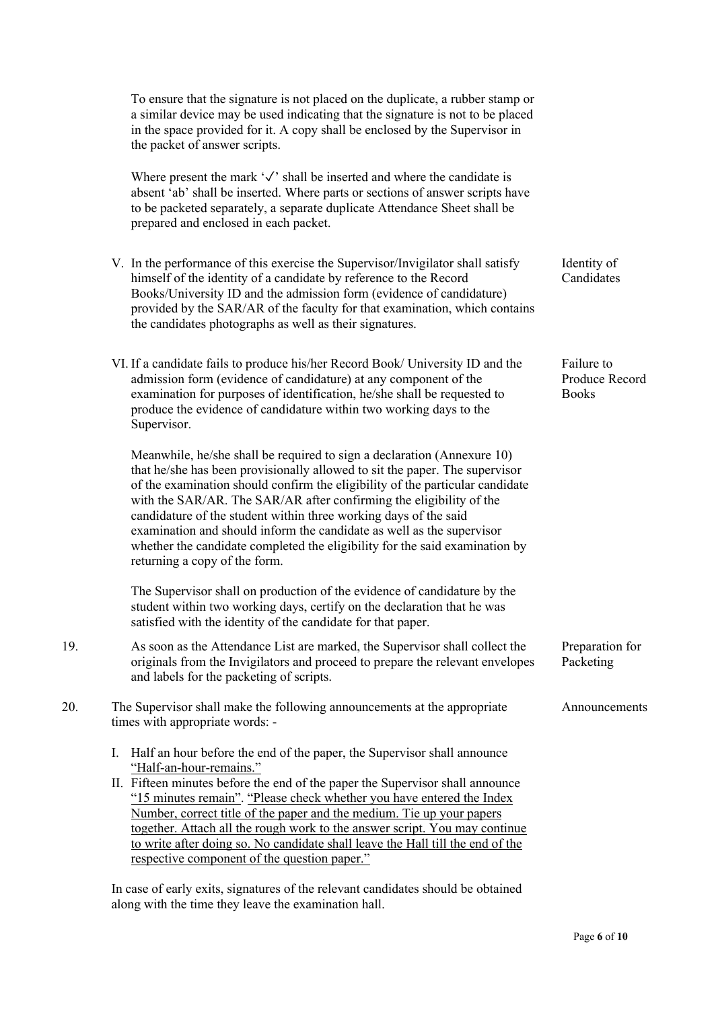|     | To ensure that the signature is not placed on the duplicate, a rubber stamp or<br>a similar device may be used indicating that the signature is not to be placed<br>in the space provided for it. A copy shall be enclosed by the Supervisor in<br>the packet of answer scripts.                                                                                                                                                                                                                                                                                            |                                              |
|-----|-----------------------------------------------------------------------------------------------------------------------------------------------------------------------------------------------------------------------------------------------------------------------------------------------------------------------------------------------------------------------------------------------------------------------------------------------------------------------------------------------------------------------------------------------------------------------------|----------------------------------------------|
|     | Where present the mark $\sqrt{ }$ shall be inserted and where the candidate is<br>absent 'ab' shall be inserted. Where parts or sections of answer scripts have<br>to be packeted separately, a separate duplicate Attendance Sheet shall be<br>prepared and enclosed in each packet.                                                                                                                                                                                                                                                                                       |                                              |
|     | V. In the performance of this exercise the Supervisor/Invigilator shall satisfy<br>himself of the identity of a candidate by reference to the Record<br>Books/University ID and the admission form (evidence of candidature)<br>provided by the SAR/AR of the faculty for that examination, which contains<br>the candidates photographs as well as their signatures.                                                                                                                                                                                                       | Identity of<br>Candidates                    |
|     | VI. If a candidate fails to produce his/her Record Book/ University ID and the<br>admission form (evidence of candidature) at any component of the<br>examination for purposes of identification, he/she shall be requested to<br>produce the evidence of candidature within two working days to the<br>Supervisor.                                                                                                                                                                                                                                                         | Failure to<br>Produce Record<br><b>Books</b> |
|     | Meanwhile, he/she shall be required to sign a declaration (Annexure 10)<br>that he/she has been provisionally allowed to sit the paper. The supervisor<br>of the examination should confirm the eligibility of the particular candidate<br>with the SAR/AR. The SAR/AR after confirming the eligibility of the<br>candidature of the student within three working days of the said<br>examination and should inform the candidate as well as the supervisor<br>whether the candidate completed the eligibility for the said examination by<br>returning a copy of the form. |                                              |
|     | The Supervisor shall on production of the evidence of candidature by the<br>student within two working days, certify on the declaration that he was<br>satisfied with the identity of the candidate for that paper.                                                                                                                                                                                                                                                                                                                                                         |                                              |
| 19. | As soon as the Attendance List are marked, the Supervisor shall collect the<br>originals from the Invigilators and proceed to prepare the relevant envelopes<br>and labels for the packeting of scripts.                                                                                                                                                                                                                                                                                                                                                                    | Preparation for<br>Packeting                 |
| 20. | The Supervisor shall make the following announcements at the appropriate<br>times with appropriate words: -                                                                                                                                                                                                                                                                                                                                                                                                                                                                 | Announcements                                |
|     | Ι.<br>Half an hour before the end of the paper, the Supervisor shall announce<br>"Half-an-hour-remains."<br>II. Fifteen minutes before the end of the paper the Supervisor shall announce<br>"15 minutes remain". "Please check whether you have entered the Index<br>Number, correct title of the paper and the medium. Tie up your papers                                                                                                                                                                                                                                 |                                              |

together. Attach all the rough work to the answer script. You may continue to write after doing so. No candidate shall leave the Hall till the end of the respective component of the question paper."

In case of early exits, signatures of the relevant candidates should be obtained along with the time they leave the examination hall.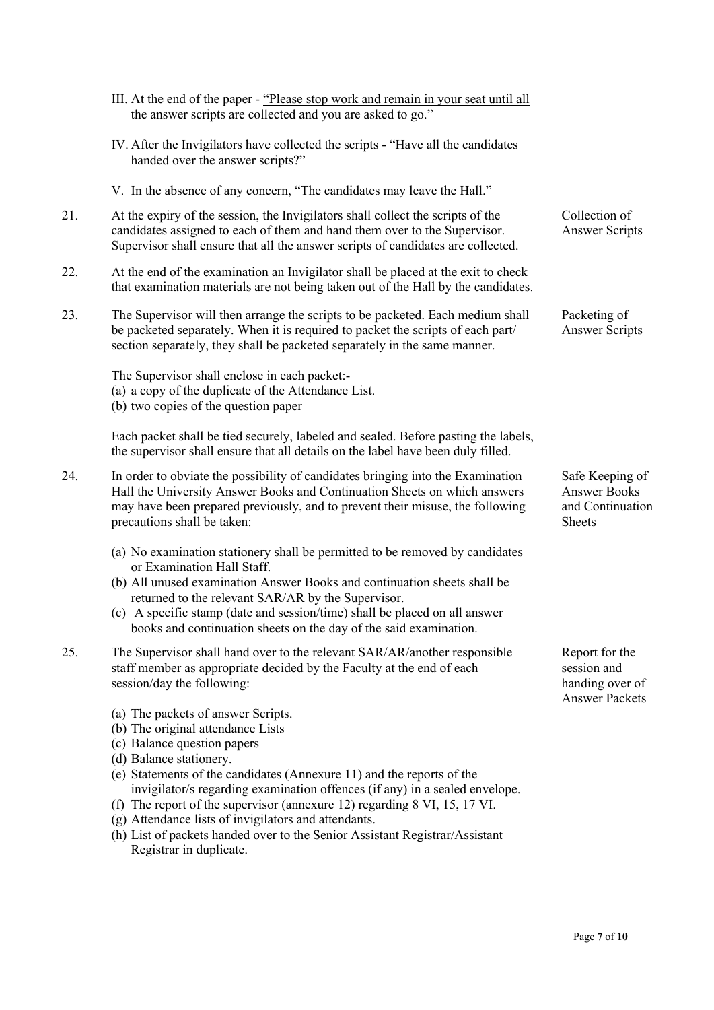|     | III. At the end of the paper - "Please stop work and remain in your seat until all<br>the answer scripts are collected and you are asked to go."                                                                                                                                                                                                                                                                               |                                                                           |
|-----|--------------------------------------------------------------------------------------------------------------------------------------------------------------------------------------------------------------------------------------------------------------------------------------------------------------------------------------------------------------------------------------------------------------------------------|---------------------------------------------------------------------------|
|     | IV. After the Invigilators have collected the scripts - "Have all the candidates<br>handed over the answer scripts?"                                                                                                                                                                                                                                                                                                           |                                                                           |
|     | V. In the absence of any concern, "The candidates may leave the Hall."                                                                                                                                                                                                                                                                                                                                                         |                                                                           |
| 21. | At the expiry of the session, the Invigilators shall collect the scripts of the<br>candidates assigned to each of them and hand them over to the Supervisor.<br>Supervisor shall ensure that all the answer scripts of candidates are collected.                                                                                                                                                                               | Collection of<br><b>Answer Scripts</b>                                    |
| 22. | At the end of the examination an Invigilator shall be placed at the exit to check<br>that examination materials are not being taken out of the Hall by the candidates.                                                                                                                                                                                                                                                         |                                                                           |
| 23. | The Supervisor will then arrange the scripts to be packeted. Each medium shall<br>be packeted separately. When it is required to packet the scripts of each part/<br>section separately, they shall be packeted separately in the same manner.                                                                                                                                                                                 | Packeting of<br><b>Answer Scripts</b>                                     |
|     | The Supervisor shall enclose in each packet:-<br>(a) a copy of the duplicate of the Attendance List.<br>(b) two copies of the question paper                                                                                                                                                                                                                                                                                   |                                                                           |
|     | Each packet shall be tied securely, labeled and sealed. Before pasting the labels,<br>the supervisor shall ensure that all details on the label have been duly filled.                                                                                                                                                                                                                                                         |                                                                           |
| 24. | In order to obviate the possibility of candidates bringing into the Examination<br>Hall the University Answer Books and Continuation Sheets on which answers<br>may have been prepared previously, and to prevent their misuse, the following<br>precautions shall be taken:                                                                                                                                                   | Safe Keeping of<br><b>Answer Books</b><br>and Continuation<br>Sheets      |
|     | (a) No examination stationery shall be permitted to be removed by candidates<br>or Examination Hall Staff.<br>(b) All unused examination Answer Books and continuation sheets shall be<br>returned to the relevant SAR/AR by the Supervisor.<br>(c) A specific stamp (date and session/time) shall be placed on all answer<br>books and continuation sheets on the day of the said examination.                                |                                                                           |
| 25. | The Supervisor shall hand over to the relevant SAR/AR/another responsible<br>staff member as appropriate decided by the Faculty at the end of each<br>session/day the following:                                                                                                                                                                                                                                               | Report for the<br>session and<br>handing over of<br><b>Answer Packets</b> |
|     | (a) The packets of answer Scripts.<br>(b) The original attendance Lists<br>(c) Balance question papers<br>(d) Balance stationery.<br>(e) Statements of the candidates (Annexure 11) and the reports of the<br>invigilator/s regarding examination offences (if any) in a sealed envelope.<br>(f) The report of the supervisor (annexure 12) regarding 8 VI, 15, 17 VI.<br>(g) Attendance lists of invigilators and attendants. |                                                                           |

(h) List of packets handed over to the Senior Assistant Registrar/Assistant Registrar in duplicate.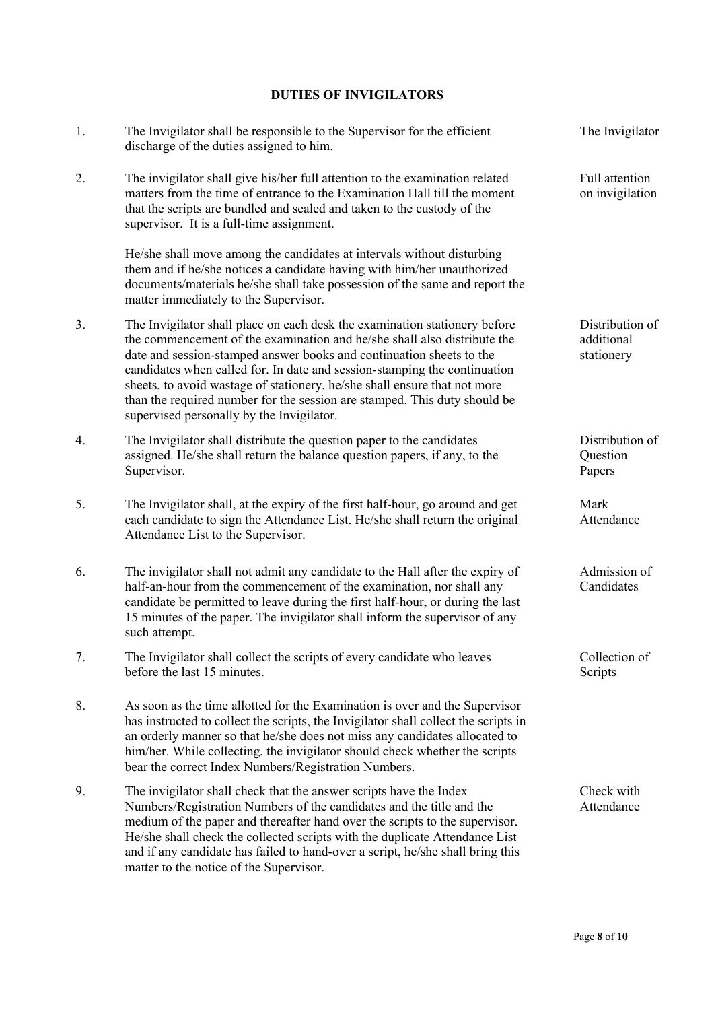# **DUTIES OF INVIGILATORS**

| 1. | The Invigilator shall be responsible to the Supervisor for the efficient<br>discharge of the duties assigned to him.                                                                                                                                                                                                                                                                                                                                                                                               | The Invigilator                             |
|----|--------------------------------------------------------------------------------------------------------------------------------------------------------------------------------------------------------------------------------------------------------------------------------------------------------------------------------------------------------------------------------------------------------------------------------------------------------------------------------------------------------------------|---------------------------------------------|
| 2. | The invigilator shall give his/her full attention to the examination related<br>matters from the time of entrance to the Examination Hall till the moment<br>that the scripts are bundled and sealed and taken to the custody of the<br>supervisor. It is a full-time assignment.                                                                                                                                                                                                                                  | Full attention<br>on invigilation           |
|    | He/she shall move among the candidates at intervals without disturbing<br>them and if he/she notices a candidate having with him/her unauthorized<br>documents/materials he/she shall take possession of the same and report the<br>matter immediately to the Supervisor.                                                                                                                                                                                                                                          |                                             |
| 3. | The Invigilator shall place on each desk the examination stationery before<br>the commencement of the examination and he/she shall also distribute the<br>date and session-stamped answer books and continuation sheets to the<br>candidates when called for. In date and session-stamping the continuation<br>sheets, to avoid wastage of stationery, he/she shall ensure that not more<br>than the required number for the session are stamped. This duty should be<br>supervised personally by the Invigilator. | Distribution of<br>additional<br>stationery |
| 4. | The Invigilator shall distribute the question paper to the candidates<br>assigned. He/she shall return the balance question papers, if any, to the<br>Supervisor.                                                                                                                                                                                                                                                                                                                                                  | Distribution of<br>Question<br>Papers       |
| 5. | The Invigilator shall, at the expiry of the first half-hour, go around and get<br>each candidate to sign the Attendance List. He/she shall return the original<br>Attendance List to the Supervisor.                                                                                                                                                                                                                                                                                                               | Mark<br>Attendance                          |
| 6. | The invigilator shall not admit any candidate to the Hall after the expiry of<br>half-an-hour from the commencement of the examination, nor shall any<br>candidate be permitted to leave during the first half-hour, or during the last<br>15 minutes of the paper. The invigilator shall inform the supervisor of any<br>such attempt.                                                                                                                                                                            | Admission of<br>Candidates                  |
| 7. | The Invigilator shall collect the scripts of every candidate who leaves<br>before the last 15 minutes.                                                                                                                                                                                                                                                                                                                                                                                                             | Collection of<br>Scripts                    |
| 8. | As soon as the time allotted for the Examination is over and the Supervisor<br>has instructed to collect the scripts, the Invigilator shall collect the scripts in<br>an orderly manner so that he/she does not miss any candidates allocated to<br>him/her. While collecting, the invigilator should check whether the scripts<br>bear the correct Index Numbers/Registration Numbers.                                                                                                                            |                                             |
| 9. | The invigilator shall check that the answer scripts have the Index<br>Numbers/Registration Numbers of the candidates and the title and the<br>medium of the paper and thereafter hand over the scripts to the supervisor.<br>He/she shall check the collected scripts with the duplicate Attendance List<br>and if any candidate has failed to hand-over a script, he/she shall bring this<br>matter to the notice of the Supervisor.                                                                              | Check with<br>Attendance                    |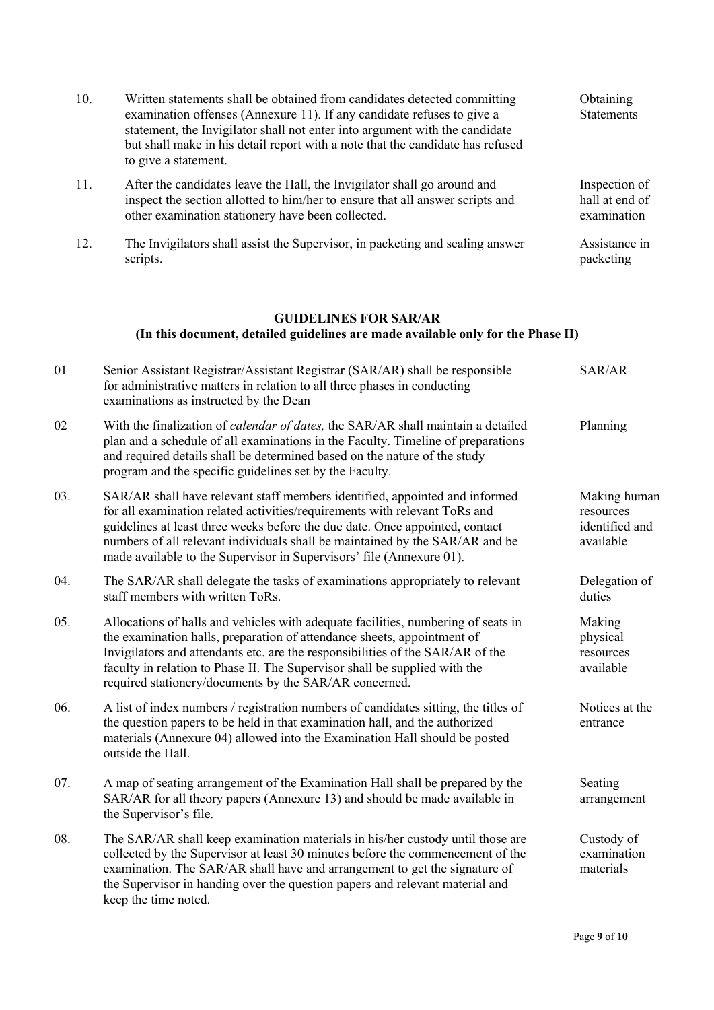| 10. | Written statements shall be obtained from candidates detected committing<br>examination offenses (Annexure 11). If any candidate refuses to give a<br>statement, the Invigilator shall not enter into argument with the candidate<br>but shall make in his detail report with a note that the candidate has refused<br>to give a statement.                                                       | Obtaining<br><b>Statements</b>                           |
|-----|---------------------------------------------------------------------------------------------------------------------------------------------------------------------------------------------------------------------------------------------------------------------------------------------------------------------------------------------------------------------------------------------------|----------------------------------------------------------|
| 11. | After the candidates leave the Hall, the Invigilator shall go around and<br>inspect the section allotted to him/her to ensure that all answer scripts and<br>other examination stationery have been collected.                                                                                                                                                                                    | Inspection of<br>hall at end of<br>examination           |
| 12. | The Invigilators shall assist the Supervisor, in packeting and sealing answer<br>scripts.                                                                                                                                                                                                                                                                                                         | Assistance in<br>packeting                               |
|     | <b>GUIDELINES FOR SAR/AR</b><br>(In this document, detailed guidelines are made available only for the Phase II)                                                                                                                                                                                                                                                                                  |                                                          |
| 01  | Senior Assistant Registrar/Assistant Registrar (SAR/AR) shall be responsible<br>for administrative matters in relation to all three phases in conducting<br>examinations as instructed by the Dean                                                                                                                                                                                                | SAR/AR                                                   |
| 02  | With the finalization of calendar of dates, the SAR/AR shall maintain a detailed<br>plan and a schedule of all examinations in the Faculty. Timeline of preparations<br>and required details shall be determined based on the nature of the study<br>program and the specific guidelines set by the Faculty.                                                                                      | Planning                                                 |
| 03. | SAR/AR shall have relevant staff members identified, appointed and informed<br>for all examination related activities/requirements with relevant ToRs and<br>guidelines at least three weeks before the due date. Once appointed, contact<br>numbers of all relevant individuals shall be maintained by the SAR/AR and be<br>made available to the Supervisor in Supervisors' file (Annexure 01). | Making human<br>resources<br>identified and<br>available |
| 04. | The SAR/AR shall delegate the tasks of examinations appropriately to relevant<br>staff members with written ToRs.                                                                                                                                                                                                                                                                                 | Delegation of<br>duties                                  |
| 05. | Allocations of halls and vehicles with adequate facilities, numbering of seats in<br>the examination halls, preparation of attendance sheets, appointment of<br>Invigilators and attendants etc. are the responsibilities of the SAR/AR of the<br>faculty in relation to Phase II. The Supervisor shall be supplied with the<br>required stationery/documents by the SAR/AR concerned.            | Making<br>physical<br>resources<br>available             |
| 06. | A list of index numbers / registration numbers of candidates sitting, the titles of<br>the question papers to be held in that examination hall, and the authorized<br>materials (Annexure 04) allowed into the Examination Hall should be posted<br>outside the Hall.                                                                                                                             | Notices at the<br>entrance                               |
| 07. | A map of seating arrangement of the Examination Hall shall be prepared by the<br>SAR/AR for all theory papers (Annexure 13) and should be made available in<br>the Supervisor's file.                                                                                                                                                                                                             | Seating<br>arrangement                                   |
| 08. | The SAR/AR shall keep examination materials in his/her custody until those are<br>collected by the Supervisor at least 30 minutes before the commencement of the<br>examination. The SAR/AR shall have and arrangement to get the signature of<br>the Supervisor in handing over the question papers and relevant material and<br>keep the time noted.                                            | Custody of<br>examination<br>materials                   |